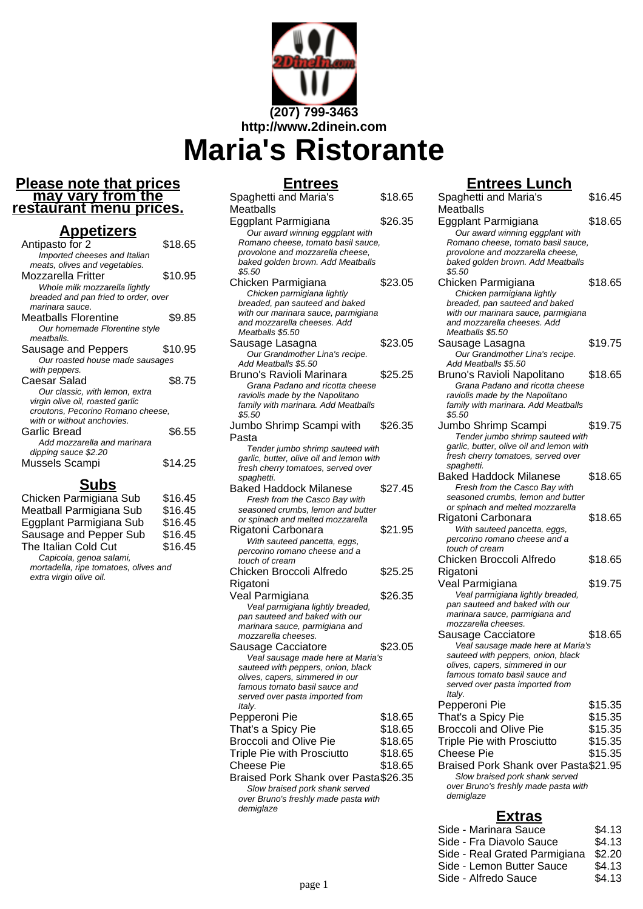

#### **Please note that prices may vary from the restaurant menu prices.**

### **Appetizers**

| $\sim$ $\sim$ $\sim$ $\sim$          |         |
|--------------------------------------|---------|
| Antipasto for 2                      | \$18.65 |
| Imported cheeses and Italian         |         |
| meats, olives and vegetables.        |         |
| Mozzarella Fritter                   | \$10.95 |
| Whole milk mozzarella lightly        |         |
| breaded and pan fried to order, over |         |
| marinara sauce.                      |         |
| Meatballs Florentine                 | \$9.85  |
| Our homemade Florentine style        |         |
| meathalls.                           |         |
| Sausage and Peppers                  | \$10.95 |
| Our roasted house made sausages      |         |
| with peppers.                        |         |
| Caesar Salad                         | \$8.75  |
| Our classic, with lemon, extra       |         |
| virgin olive oil, roasted garlic     |         |
| croutons, Pecorino Romano cheese,    |         |
| with or without anchovies.           |         |
| Garlic Bread                         | \$6.55  |
| Add mozzarella and marinara          |         |
| dipping sauce \$2.20                 |         |
| Mussels Scampi                       | \$14.25 |
|                                      |         |

# **Subs**

| Chicken Parmigiana Sub                | \$16.45 |  |
|---------------------------------------|---------|--|
| Meatball Parmigiana Sub               | \$16.45 |  |
| Eggplant Parmigiana Sub               | \$16.45 |  |
| Sausage and Pepper Sub                | \$16.45 |  |
| The Italian Cold Cut                  | \$16.45 |  |
| Capicola, genoa salami,               |         |  |
| mortadella, ripe tomatoes, olives and |         |  |
| extra virgin olive oil.               |         |  |

### **Entrees**

| Spaghetti and Maria's<br>Meatballs                                    | \$18.65 |
|-----------------------------------------------------------------------|---------|
| Eggplant Parmigiana                                                   | \$26.35 |
| Our award winning eggplant with<br>Romano cheese, tomato basil sauce, |         |
| provolone and mozzarella cheese.                                      |         |
| baked golden brown. Add Meatballs<br>\$5.50                           |         |
| Chicken Parmigiana                                                    | \$23.05 |
| Chicken parmigiana lightly<br>breaded, pan sauteed and baked          |         |
| with our marinara sauce, parmigiana                                   |         |
| and mozzarella cheeses. Add                                           |         |
| Meatballs \$5.50                                                      |         |
| Sausage Lasagna                                                       | \$23.05 |
| Our Grandmother Lina's recipe.                                        |         |
| Add Meatballs \$5.50                                                  |         |
| Bruno's Ravioli Marinara                                              | \$25.25 |
| Grana Padano and ricotta cheese                                       |         |
| raviolis made by the Napolitano                                       |         |
| family with marinara. Add Meatballs<br>\$5.50                         |         |
| Jumbo Shrimp Scampi with                                              | \$26.35 |
| Pasta                                                                 |         |
| Tender jumbo shrimp sauteed with                                      |         |
| garlic, butter, olive oil and lemon with                              |         |
| fresh cherry tomatoes, served over                                    |         |
| spaghetti.                                                            |         |
| <b>Baked Haddock Milanese</b>                                         | \$27.45 |
| Fresh from the Casco Bay with                                         |         |
| seasoned crumbs, lemon and butter                                     |         |
| or spinach and melted mozzarella                                      |         |
| Rigatoni Carbonara                                                    | \$21.95 |
| With sauteed pancetta, eggs,<br>percorino romano cheese and a         |         |
| touch of cream                                                        |         |
| Chicken Broccoli Alfredo                                              | \$25.25 |
| Rigatoni                                                              |         |
| Veal Parmigiana                                                       | \$26.35 |
| Veal parmigiana lightly breaded,                                      |         |
| pan sauteed and baked with our                                        |         |
| .<br>marinara sauce, parmigiana and                                   |         |
| mozzarella cheeses.                                                   |         |
| Sausage Cacciatore                                                    | \$23.05 |
| Veal sausage made here at Maria's                                     |         |
| sauteed with peppers, onion, black                                    |         |
| olives, capers, simmered in our<br>famous tomato basil sauce and      |         |
| served over pasta imported from                                       |         |
| ltaly.                                                                |         |
| Pepperoni Pie                                                         | \$18.65 |
| That's a Spicy Pie                                                    | \$18.65 |
| <b>Broccoli and Olive Pie</b>                                         | \$18.65 |
| Triple Pie with Prosciutto                                            | \$18.65 |
| <b>Cheese Pie</b>                                                     | \$18.65 |
| Braised Pork Shank over Pasta\$26.35                                  |         |
| Slow braised pork shank served                                        |         |
| over Bruno's freshly made pasta with                                  |         |
| demiglaze                                                             |         |
|                                                                       |         |

## **Entrees Lunch**

| Veal Parmigiana<br>Veal parmigiana lightly breaded,<br>pan sauteed and baked with our<br>.<br>marinara sauce, parmigiana and<br>mozzarella cheeses.<br>Sausage Cacciatore<br>Veal sausage made here at Maria's<br>sauteed with peppers, onion, black<br>olives, capers, simmered in our<br>famous tomato basil sauce and<br>served over pasta imported from<br>Italy.<br>Pepperoni Pie<br>That's a Spicy Pie<br><b>Broccoli and Olive Pie</b><br><b>Triple Pie with Prosciutto</b><br><b>Cheese Pie</b><br>Braised Pork Shank over Pasta\$21.95<br>Slow braised pork shank served<br>over Bruno's freshly made pasta with<br>demiglaze | \$18.65<br>\$19.75<br>\$18.65<br>\$15.35<br>\$15.35<br>\$15.35<br>\$15.35<br>\$15.35 |
|----------------------------------------------------------------------------------------------------------------------------------------------------------------------------------------------------------------------------------------------------------------------------------------------------------------------------------------------------------------------------------------------------------------------------------------------------------------------------------------------------------------------------------------------------------------------------------------------------------------------------------------|--------------------------------------------------------------------------------------|
|                                                                                                                                                                                                                                                                                                                                                                                                                                                                                                                                                                                                                                        |                                                                                      |
|                                                                                                                                                                                                                                                                                                                                                                                                                                                                                                                                                                                                                                        |                                                                                      |
|                                                                                                                                                                                                                                                                                                                                                                                                                                                                                                                                                                                                                                        |                                                                                      |
|                                                                                                                                                                                                                                                                                                                                                                                                                                                                                                                                                                                                                                        |                                                                                      |
|                                                                                                                                                                                                                                                                                                                                                                                                                                                                                                                                                                                                                                        |                                                                                      |
|                                                                                                                                                                                                                                                                                                                                                                                                                                                                                                                                                                                                                                        |                                                                                      |
|                                                                                                                                                                                                                                                                                                                                                                                                                                                                                                                                                                                                                                        |                                                                                      |
|                                                                                                                                                                                                                                                                                                                                                                                                                                                                                                                                                                                                                                        |                                                                                      |
|                                                                                                                                                                                                                                                                                                                                                                                                                                                                                                                                                                                                                                        |                                                                                      |
|                                                                                                                                                                                                                                                                                                                                                                                                                                                                                                                                                                                                                                        |                                                                                      |
|                                                                                                                                                                                                                                                                                                                                                                                                                                                                                                                                                                                                                                        |                                                                                      |
|                                                                                                                                                                                                                                                                                                                                                                                                                                                                                                                                                                                                                                        |                                                                                      |
|                                                                                                                                                                                                                                                                                                                                                                                                                                                                                                                                                                                                                                        |                                                                                      |
|                                                                                                                                                                                                                                                                                                                                                                                                                                                                                                                                                                                                                                        |                                                                                      |
|                                                                                                                                                                                                                                                                                                                                                                                                                                                                                                                                                                                                                                        |                                                                                      |
|                                                                                                                                                                                                                                                                                                                                                                                                                                                                                                                                                                                                                                        |                                                                                      |
| Rigatoni                                                                                                                                                                                                                                                                                                                                                                                                                                                                                                                                                                                                                               |                                                                                      |
| Chicken Broccoli Alfredo                                                                                                                                                                                                                                                                                                                                                                                                                                                                                                                                                                                                               |                                                                                      |
| touch of cream                                                                                                                                                                                                                                                                                                                                                                                                                                                                                                                                                                                                                         |                                                                                      |
| percorino romano cheese and a                                                                                                                                                                                                                                                                                                                                                                                                                                                                                                                                                                                                          |                                                                                      |
| With sauteed pancetta, eggs,                                                                                                                                                                                                                                                                                                                                                                                                                                                                                                                                                                                                           |                                                                                      |
| or spinach and melted mozzarella<br>Rigatoni Carbonara                                                                                                                                                                                                                                                                                                                                                                                                                                                                                                                                                                                 | \$18.65                                                                              |
| seasoned crumbs, lemon and butter                                                                                                                                                                                                                                                                                                                                                                                                                                                                                                                                                                                                      |                                                                                      |
| Fresh from the Casco Bay with                                                                                                                                                                                                                                                                                                                                                                                                                                                                                                                                                                                                          |                                                                                      |
| <b>Baked Haddock Milanese</b>                                                                                                                                                                                                                                                                                                                                                                                                                                                                                                                                                                                                          | \$18.65                                                                              |
| spaghetti.                                                                                                                                                                                                                                                                                                                                                                                                                                                                                                                                                                                                                             |                                                                                      |
| garlic, butter, olive oil and lemon with<br>fresh cherry tomatoes, served over                                                                                                                                                                                                                                                                                                                                                                                                                                                                                                                                                         |                                                                                      |
| Tender jumbo shrimp sauteed with                                                                                                                                                                                                                                                                                                                                                                                                                                                                                                                                                                                                       |                                                                                      |
| Jumbo Shrimp Scampi                                                                                                                                                                                                                                                                                                                                                                                                                                                                                                                                                                                                                    | \$19.75                                                                              |
| \$5.50                                                                                                                                                                                                                                                                                                                                                                                                                                                                                                                                                                                                                                 |                                                                                      |
| family with marinara. Add Meatballs                                                                                                                                                                                                                                                                                                                                                                                                                                                                                                                                                                                                    |                                                                                      |
| Grana Padano and ricotta cheese<br>raviolis made by the Napolitano                                                                                                                                                                                                                                                                                                                                                                                                                                                                                                                                                                     |                                                                                      |
| Bruno's Ravioli Napolitano                                                                                                                                                                                                                                                                                                                                                                                                                                                                                                                                                                                                             | \$18.65                                                                              |
| Add Meatballs \$5.50                                                                                                                                                                                                                                                                                                                                                                                                                                                                                                                                                                                                                   |                                                                                      |
| Our Grandmother Lina's recipe.                                                                                                                                                                                                                                                                                                                                                                                                                                                                                                                                                                                                         |                                                                                      |
| Sausage Lasagna                                                                                                                                                                                                                                                                                                                                                                                                                                                                                                                                                                                                                        | \$19.75                                                                              |
| Meatballs \$5.50                                                                                                                                                                                                                                                                                                                                                                                                                                                                                                                                                                                                                       |                                                                                      |
| with our marinara sauce, parmigiana<br>and mozzarella cheeses. Add                                                                                                                                                                                                                                                                                                                                                                                                                                                                                                                                                                     |                                                                                      |
| breaded, pan sauteed and baked                                                                                                                                                                                                                                                                                                                                                                                                                                                                                                                                                                                                         |                                                                                      |
| Chicken parmigiana lightly                                                                                                                                                                                                                                                                                                                                                                                                                                                                                                                                                                                                             |                                                                                      |
| Chicken Parmigiana                                                                                                                                                                                                                                                                                                                                                                                                                                                                                                                                                                                                                     | \$18.65                                                                              |
| \$5.50                                                                                                                                                                                                                                                                                                                                                                                                                                                                                                                                                                                                                                 |                                                                                      |
| provolone and mozzarella cheese,<br>baked golden brown. Add Meatballs                                                                                                                                                                                                                                                                                                                                                                                                                                                                                                                                                                  |                                                                                      |
| Romano cheese, tomato basil sauce,                                                                                                                                                                                                                                                                                                                                                                                                                                                                                                                                                                                                     |                                                                                      |
| Our award winning eggplant with                                                                                                                                                                                                                                                                                                                                                                                                                                                                                                                                                                                                        |                                                                                      |
| Eggplant Parmigiana                                                                                                                                                                                                                                                                                                                                                                                                                                                                                                                                                                                                                    | \$18.65                                                                              |
| Meatballs                                                                                                                                                                                                                                                                                                                                                                                                                                                                                                                                                                                                                              |                                                                                      |
| Spaghetti and Maria's                                                                                                                                                                                                                                                                                                                                                                                                                                                                                                                                                                                                                  | \$16.45                                                                              |

|        | Side - Marinara Sauce         | \$4.13 |
|--------|-------------------------------|--------|
|        | Side - Fra Diavolo Sauce      | \$4.13 |
|        | Side - Real Grated Parmigiana | \$2.20 |
|        | Side - Lemon Butter Sauce     | \$4.13 |
|        | Side - Alfredo Sauce          | \$4.13 |
| page 1 |                               |        |